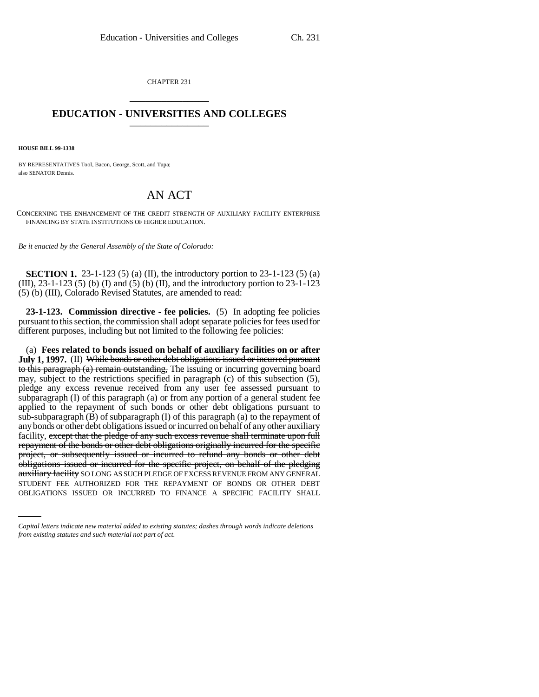CHAPTER 231 \_\_\_\_\_\_\_\_\_\_\_\_\_\_\_

## **EDUCATION - UNIVERSITIES AND COLLEGES** \_\_\_\_\_\_\_\_\_\_\_\_\_\_\_

**HOUSE BILL 99-1338**

BY REPRESENTATIVES Tool, Bacon, George, Scott, and Tupa; also SENATOR Dennis.

## AN ACT

CONCERNING THE ENHANCEMENT OF THE CREDIT STRENGTH OF AUXILIARY FACILITY ENTERPRISE FINANCING BY STATE INSTITUTIONS OF HIGHER EDUCATION.

*Be it enacted by the General Assembly of the State of Colorado:*

**SECTION 1.** 23-1-123 (5) (a) (II), the introductory portion to 23-1-123 (5) (a) (III),  $23-1-123$  (5) (b) (I) and (5) (b) (II), and the introductory portion to  $23-1-123$ (5) (b) (III), Colorado Revised Statutes, are amended to read:

**23-1-123. Commission directive - fee policies.** (5) In adopting fee policies pursuant to this section, the commission shall adopt separate policies for fees used for different purposes, including but not limited to the following fee policies:

auxiliary facility SO LONG AS SUCH PLEDGE OF EXCESS REVENUE FROM ANY GENERAL (a) **Fees related to bonds issued on behalf of auxiliary facilities on or after July 1, 1997.** (II) While bonds or other debt obligations issued or incurred pursuant to this paragraph (a) remain out tanding. The issuing or incurring governing board may, subject to the restrictions specified in paragraph (c) of this subsection (5), pledge any excess revenue received from any user fee assessed pursuant to subparagraph (I) of this paragraph (a) or from any portion of a general student fee applied to the repayment of such bonds or other debt obligations pursuant to sub-subparagraph (B) of subparagraph (I) of this paragraph (a) to the repayment of any bonds or other debt obligations issued or incurred on behalf of any other auxiliary facility, except that the pledge of any such excess revenue shall terminate upon full repayment of the bonds or other debt obligations originally incurred for the specific project, or subsequently issued or incurred to refund any bonds or other debt obligations issued or incurred for the specific project, on behalf of the pledging STUDENT FEE AUTHORIZED FOR THE REPAYMENT OF BONDS OR OTHER DEBT OBLIGATIONS ISSUED OR INCURRED TO FINANCE A SPECIFIC FACILITY SHALL

*Capital letters indicate new material added to existing statutes; dashes through words indicate deletions from existing statutes and such material not part of act.*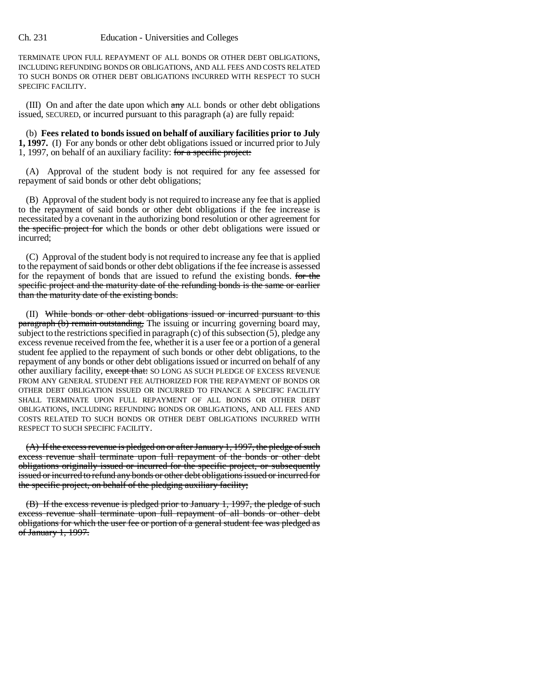## Ch. 231 Education - Universities and Colleges

TERMINATE UPON FULL REPAYMENT OF ALL BONDS OR OTHER DEBT OBLIGATIONS, INCLUDING REFUNDING BONDS OR OBLIGATIONS, AND ALL FEES AND COSTS RELATED TO SUCH BONDS OR OTHER DEBT OBLIGATIONS INCURRED WITH RESPECT TO SUCH SPECIFIC FACILITY.

(III) On and after the date upon which  $\frac{any}{any}$  ALL bonds or other debt obligations issued, SECURED, or incurred pursuant to this paragraph (a) are fully repaid:

(b) **Fees related to bonds issued on behalf of auxiliary facilities prior to July 1, 1997.** (I) For any bonds or other debt obligations issued or incurred prior to July 1, 1997, on behalf of an auxiliary facility: for a specific project:

(A) Approval of the student body is not required for any fee assessed for repayment of said bonds or other debt obligations;

(B) Approval of the student body is not required to increase any fee that is applied to the repayment of said bonds or other debt obligations if the fee increase is necessitated by a covenant in the authorizing bond resolution or other agreement for the specific project for which the bonds or other debt obligations were issued or incurred;

(C) Approval of the student body is not required to increase any fee that is applied to the repayment of said bonds or other debt obligations if the fee increase is assessed for the repayment of bonds that are issued to refund the existing bonds. For the specific project and the maturity date of the refunding bonds is the same or earlier than the maturity date of the existing bonds.

(II) While bonds or other debt obligations issued or incurred pursuant to this paragraph (b) remain outstanding, The issuing or incurring governing board may, subject to the restrictions specified in paragraph (c) of this subsection  $(5)$ , pledge any excess revenue received from the fee, whether it is a user fee or a portion of a general student fee applied to the repayment of such bonds or other debt obligations, to the repayment of any bonds or other debt obligations issued or incurred on behalf of any other auxiliary facility, except that: SO LONG AS SUCH PLEDGE OF EXCESS REVENUE FROM ANY GENERAL STUDENT FEE AUTHORIZED FOR THE REPAYMENT OF BONDS OR OTHER DEBT OBLIGATION ISSUED OR INCURRED TO FINANCE A SPECIFIC FACILITY SHALL TERMINATE UPON FULL REPAYMENT OF ALL BONDS OR OTHER DEBT OBLIGATIONS, INCLUDING REFUNDING BONDS OR OBLIGATIONS, AND ALL FEES AND COSTS RELATED TO SUCH BONDS OR OTHER DEBT OBLIGATIONS INCURRED WITH RESPECT TO SUCH SPECIFIC FACILITY.

(A) If the excess revenue is pledged on or after January 1, 1997, the pledge of such excess revenue shall terminate upon full repayment of the bonds or other debt obligations originally issued or incurred for the specific project, or subsequently issued or incurred to refund any bonds or other debt obligations issued or incurred for the specific project, on behalf of the pledging auxiliary facility;

(B) If the excess revenue is pledged prior to January 1, 1997, the pledge of such excess revenue shall terminate upon full repayment of all bonds or other debt obligations for which the user fee or portion of a general student fee was pledged as of January 1, 1997.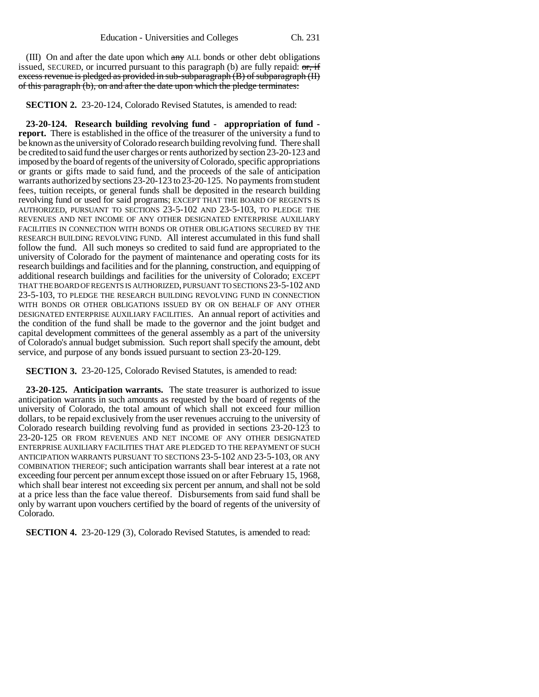(III) On and after the date upon which any ALL bonds or other debt obligations issued, SECURED, or incurred pursuant to this paragraph (b) are fully repaid:  $\sigma_{\tau}$  if excess revenue is pledged as provided in sub-subparagraph (B) of subparagraph (II) of this paragraph (b), on and after the date upon which the pledge terminates:

**SECTION 2.** 23-20-124, Colorado Revised Statutes, is amended to read:

**23-20-124. Research building revolving fund - appropriation of fund report.** There is established in the office of the treasurer of the university a fund to be known as the university of Colorado research building revolving fund. There shall be credited to said fund the user charges or rents authorized by section 23-20-123 and imposed by the board of regents of the university of Colorado, specific appropriations or grants or gifts made to said fund, and the proceeds of the sale of anticipation warrants authorized by sections 23-20-123 to 23-20-125. No payments from student fees, tuition receipts, or general funds shall be deposited in the research building revolving fund or used for said programs; EXCEPT THAT THE BOARD OF REGENTS IS AUTHORIZED, PURSUANT TO SECTIONS 23-5-102 AND 23-5-103, TO PLEDGE THE REVENUES AND NET INCOME OF ANY OTHER DESIGNATED ENTERPRISE AUXILIARY FACILITIES IN CONNECTION WITH BONDS OR OTHER OBLIGATIONS SECURED BY THE RESEARCH BUILDING REVOLVING FUND. All interest accumulated in this fund shall follow the fund. All such moneys so credited to said fund are appropriated to the university of Colorado for the payment of maintenance and operating costs for its research buildings and facilities and for the planning, construction, and equipping of additional research buildings and facilities for the university of Colorado; EXCEPT THAT THE BOARD OF REGENTS IS AUTHORIZED, PURSUANT TO SECTIONS 23-5-102 AND 23-5-103, TO PLEDGE THE RESEARCH BUILDING REVOLVING FUND IN CONNECTION WITH BONDS OR OTHER OBLIGATIONS ISSUED BY OR ON BEHALF OF ANY OTHER DESIGNATED ENTERPRISE AUXILIARY FACILITIES. An annual report of activities and the condition of the fund shall be made to the governor and the joint budget and capital development committees of the general assembly as a part of the university of Colorado's annual budget submission. Such report shall specify the amount, debt service, and purpose of any bonds issued pursuant to section 23-20-129.

**SECTION 3.** 23-20-125, Colorado Revised Statutes, is amended to read:

**23-20-125. Anticipation warrants.** The state treasurer is authorized to issue anticipation warrants in such amounts as requested by the board of regents of the university of Colorado, the total amount of which shall not exceed four million dollars, to be repaid exclusively from the user revenues accruing to the university of Colorado research building revolving fund as provided in sections 23-20-123 to 23-20-125 OR FROM REVENUES AND NET INCOME OF ANY OTHER DESIGNATED ENTERPRISE AUXILIARY FACILITIES THAT ARE PLEDGED TO THE REPAYMENT OF SUCH ANTICIPATION WARRANTS PURSUANT TO SECTIONS 23-5-102 AND 23-5-103, OR ANY COMBINATION THEREOF; such anticipation warrants shall bear interest at a rate not exceeding four percent per annum except those issued on or after February 15, 1968, which shall bear interest not exceeding six percent per annum, and shall not be sold at a price less than the face value thereof. Disbursements from said fund shall be only by warrant upon vouchers certified by the board of regents of the university of Colorado.

**SECTION 4.** 23-20-129 (3), Colorado Revised Statutes, is amended to read: